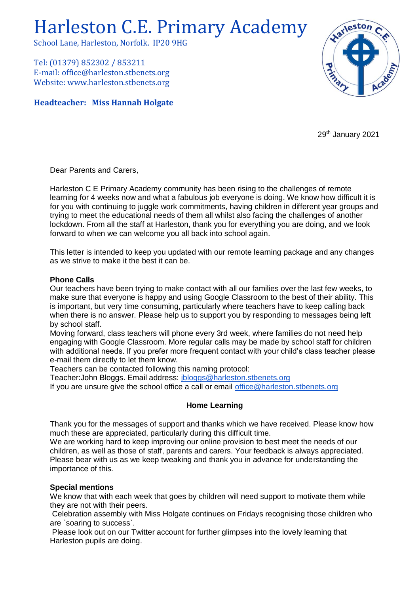# Harleston C.E. Primary Academy

School Lane, Harleston, Norfolk. IP20 9HG

Tel: (01379) 852302 / 853211 E-mail: office@harleston.stbenets.org Website: www.harleston.stbenets.org

**Headteacher: Miss Hannah Holgate**



29<sup>th</sup> January 2021

Dear Parents and Carers,

Harleston C E Primary Academy community has been rising to the challenges of remote learning for 4 weeks now and what a fabulous job everyone is doing. We know how difficult it is for you with continuing to juggle work commitments, having children in different year groups and trying to meet the educational needs of them all whilst also facing the challenges of another lockdown. From all the staff at Harleston, thank you for everything you are doing, and we look forward to when we can welcome you all back into school again.

This letter is intended to keep you updated with our remote learning package and any changes as we strive to make it the best it can be.

### **Phone Calls**

Our teachers have been trying to make contact with all our families over the last few weeks, to make sure that everyone is happy and using Google Classroom to the best of their ability. This is important, but very time consuming, particularly where teachers have to keep calling back when there is no answer. Please help us to support you by responding to messages being left by school staff.

Moving forward, class teachers will phone every 3rd week, where families do not need help engaging with Google Classroom. More regular calls may be made by school staff for children with additional needs. If you prefer more frequent contact with your child's class teacher please e-mail them directly to let them know.

Teachers can be contacted following this naming protocol:

Teacher:John Bloggs. Email address: [jbloggs@harleston.stbenets.org](mailto:jbloggs@harleston.stbenets.org)

If you are unsure give the school office a call or email [office@harleston.stbenets.org](mailto:office@harleston.stbenets.org)

### **Home Learning**

Thank you for the messages of support and thanks which we have received. Please know how much these are appreciated, particularly during this difficult time.

We are working hard to keep improving our online provision to best meet the needs of our children, as well as those of staff, parents and carers. Your feedback is always appreciated. Please bear with us as we keep tweaking and thank you in advance for understanding the importance of this.

### **Special mentions**

We know that with each week that goes by children will need support to motivate them while they are not with their peers.

Celebration assembly with Miss Holgate continues on Fridays recognising those children who are `soaring to success`.

Please look out on our Twitter account for further glimpses into the lovely learning that Harleston pupils are doing.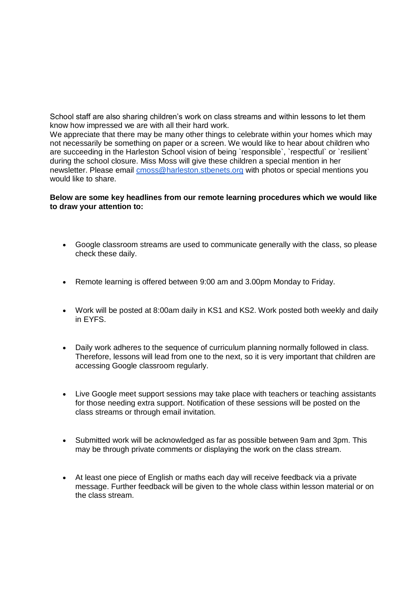School staff are also sharing children's work on class streams and within lessons to let them know how impressed we are with all their hard work.

We appreciate that there may be many other things to celebrate within your homes which may not necessarily be something on paper or a screen. We would like to hear about children who are succeeding in the Harleston School vision of being `responsible`, `respectful` or `resilient` during the school closure. Miss Moss will give these children a special mention in her newsletter. Please email [cmoss@harleston.stbenets.org](mailto:cmoss@harleston.stbenets.org) with photos or special mentions you would like to share.

#### **Below are some key headlines from our remote learning procedures which we would like to draw your attention to:**

- Google classroom streams are used to communicate generally with the class, so please check these daily.
- Remote learning is offered between 9:00 am and 3.00pm Monday to Friday.
- Work will be posted at 8:00am daily in KS1 and KS2. Work posted both weekly and daily in EYFS.
- Daily work adheres to the sequence of curriculum planning normally followed in class. Therefore, lessons will lead from one to the next, so it is very important that children are accessing Google classroom regularly.
- Live Google meet support sessions may take place with teachers or teaching assistants for those needing extra support. Notification of these sessions will be posted on the class streams or through email invitation.
- Submitted work will be acknowledged as far as possible between 9am and 3pm. This may be through private comments or displaying the work on the class stream.
- At least one piece of English or maths each day will receive feedback via a private message. Further feedback will be given to the whole class within lesson material or on the class stream.